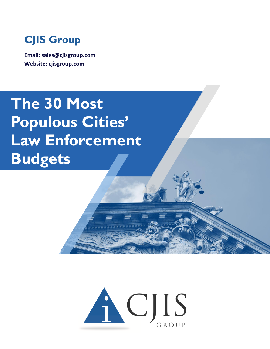

**Email: sales@cjisgroup.com Website: cjisgroup.com**

## **The 30 Most Populous Cities' Law Enforcement Budgets**

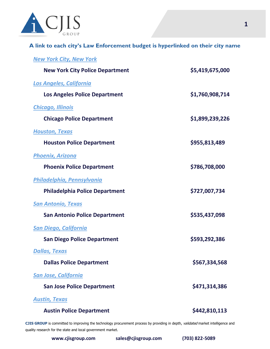

## **A link to each city's Law Enforcement budget is hyperlinked on their city name**

| <b>New York City, New York</b>         |                 |
|----------------------------------------|-----------------|
| <b>New York City Police Department</b> | \$5,419,675,000 |
| <b>Los Angeles, California</b>         |                 |
| <b>Los Angeles Police Department</b>   | \$1,760,908,714 |
| <b>Chicago, Illinois</b>               |                 |
| <b>Chicago Police Department</b>       | \$1,899,239,226 |
| <b>Houston, Texas</b>                  |                 |
| <b>Houston Police Department</b>       | \$955,813,489   |
| <b>Phoenix, Arizona</b>                |                 |
| <b>Phoenix Police Department</b>       | \$786,708,000   |
| Philadelphia, Pennsylvania             |                 |
| <b>Philadelphia Police Department</b>  | \$727,007,734   |
| <b>San Antonio, Texas</b>              |                 |
| <b>San Antonio Police Department</b>   | \$535,437,098   |
| <b>San Diego, California</b>           |                 |
| <b>San Diego Police Department</b>     | \$593,292,386   |
| <u> Dallas, Texas</u>                  |                 |
| <b>Dallas Police Department</b>        | \$567,334,568   |
| <b>San Jose, California</b>            |                 |
| <b>San Jose Police Department</b>      | \$471,314,386   |
| <b>Austin, Texas</b>                   |                 |
| <b>Austin Police Department</b>        | \$442,810,113   |

CJIS GROUP is committed to improving the technology procurement process by providing in depth, validated market intelligence and quality research for the state and local government market.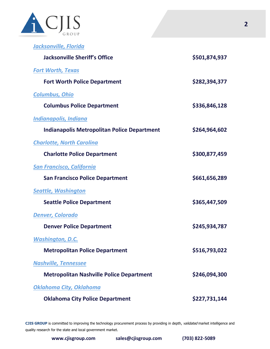

| <u>Jacksonville, Florida</u>                       |               |
|----------------------------------------------------|---------------|
| <b>Jacksonville Sheriff's Office</b>               | \$501,874,937 |
| <b>Fort Worth, Texas</b>                           |               |
| <b>Fort Worth Police Department</b>                | \$282,394,377 |
| <b>Columbus, Ohio</b>                              |               |
| <b>Columbus Police Department</b>                  | \$336,846,128 |
| <b>Indianapolis, Indiana</b>                       |               |
| <b>Indianapolis Metropolitan Police Department</b> | \$264,964,602 |
| <b>Charlotte, North Carolina</b>                   |               |
| <b>Charlotte Police Department</b>                 | \$300,877,459 |
| <b>San Francisco, California</b>                   |               |
| <b>San Francisco Police Department</b>             | \$661,656,289 |
| <b>Seattle, Washington</b>                         |               |
| <b>Seattle Police Department</b>                   | \$365,447,509 |
| <b>Denver, Colorado</b>                            |               |
| <b>Denver Police Department</b>                    | \$245,934,787 |
| <u>Washington, D.C.</u>                            |               |
| <b>Metropolitan Police Department</b>              | \$516,793,022 |
| Nashville, Tennessee                               |               |
| <b>Metropolitan Nashville Police Department</b>    | \$246,094,300 |
| Oklahoma City, Oklahoma                            |               |
| <b>Oklahoma City Police Department</b>             | \$227,731,144 |

CJIS GROUP is committed to improving the technology procurement process by providing in depth, validated market intelligence and quality research for the state and local government market.